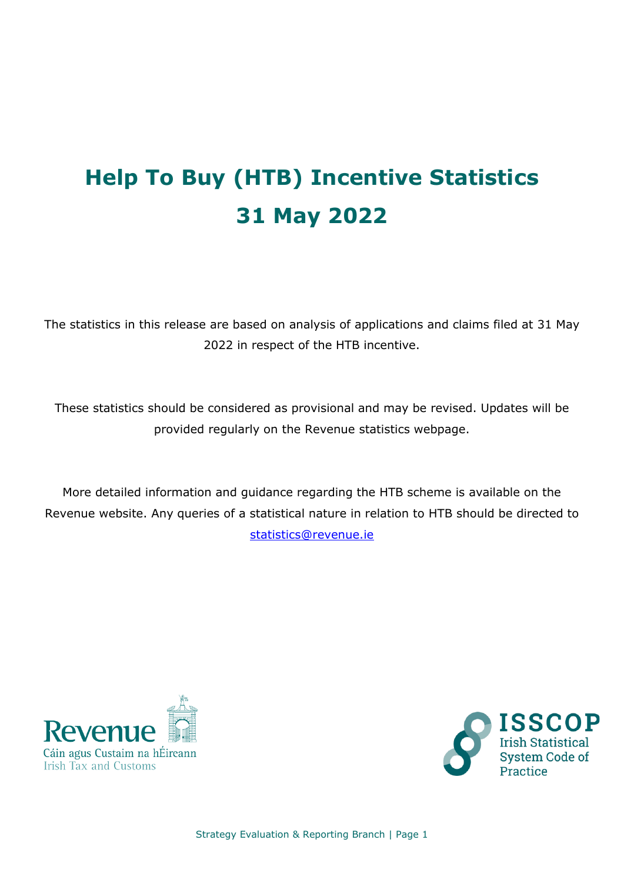# **Help To Buy (HTB) Incentive Statistics 31 May 2022**

The statistics in this release are based on analysis of applications and claims filed at 31 May 2022 in respect of the HTB incentive.

These statistics should be considered as provisional and may be revised. Updates will be provided regularly on the Revenue statistics webpage.

More detailed information and guidance regarding the HTB scheme is available on the Revenue website. Any queries of a statistical nature in relation to HTB should be directed to [statistics@revenue.ie](mailto:statistics@revenue.ie)





Strategy Evaluation & Reporting Branch | Page 1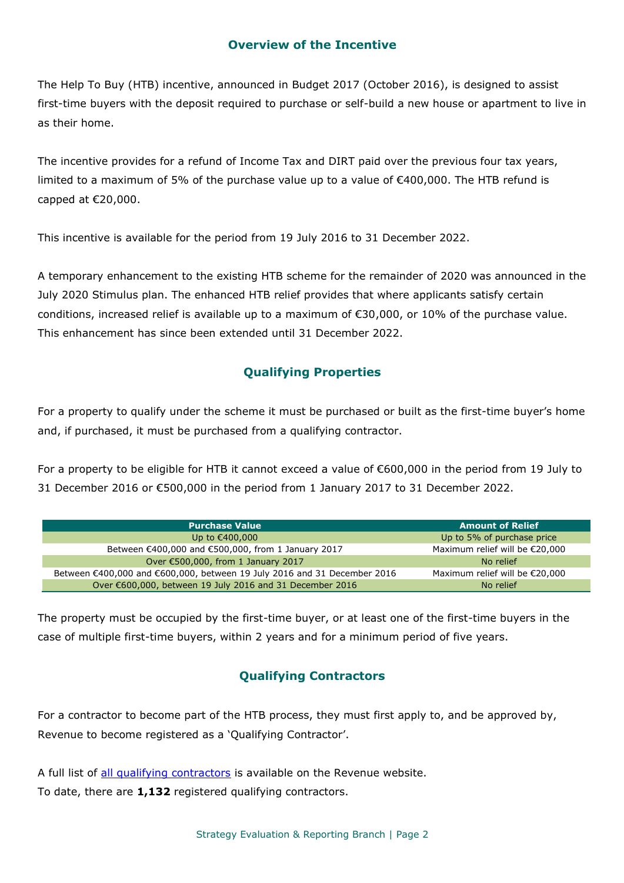### **Overview of the Incentive**

The Help To Buy (HTB) incentive, announced in Budget 2017 (October 2016), is designed to assist first-time buyers with the deposit required to purchase or self-build a new house or apartment to live in as their home.

The incentive provides for a refund of Income Tax and DIRT paid over the previous four tax years, limited to a maximum of 5% of the purchase value up to a value of €400,000. The HTB refund is capped at €20,000.

This incentive is available for the period from 19 July 2016 to 31 December 2022.

A temporary enhancement to the existing HTB scheme for the remainder of 2020 was announced in the July 2020 Stimulus plan. The enhanced HTB relief provides that where applicants satisfy certain conditions, increased relief is available up to a maximum of €30,000, or 10% of the purchase value. This enhancement has since been extended until 31 December 2022.

## **Qualifying Properties**

For a property to qualify under the scheme it must be purchased or built as the first-time buyer's home and, if purchased, it must be purchased from a qualifying contractor.

For a property to be eligible for HTB it cannot exceed a value of €600,000 in the period from 19 July to 31 December 2016 or €500,000 in the period from 1 January 2017 to 31 December 2022.

| <b>Purchase Value</b>                                                    | <b>Amount of Relief</b>           |
|--------------------------------------------------------------------------|-----------------------------------|
| Up to €400,000                                                           | Up to 5% of purchase price        |
| Between €400,000 and €500,000, from 1 January 2017                       | Maximum relief will be $E$ 20,000 |
| Over €500,000, from 1 January 2017                                       | No relief                         |
| Between €400,000 and €600,000, between 19 July 2016 and 31 December 2016 | Maximum relief will be $E$ 20,000 |
| Over €600,000, between 19 July 2016 and 31 December 2016                 | No relief                         |

The property must be occupied by the first-time buyer, or at least one of the first-time buyers in the case of multiple first-time buyers, within 2 years and for a minimum period of five years.

## **Qualifying Contractors**

For a contractor to become part of the HTB process, they must first apply to, and be approved by, Revenue to become registered as a 'Qualifying Contractor'.

A full list of [all qualifying contractors](http://www.revenue.ie/en/property/documents/htb-qualifying-contractors.pdf) is available on the Revenue website. To date, there are **1,132** registered qualifying contractors.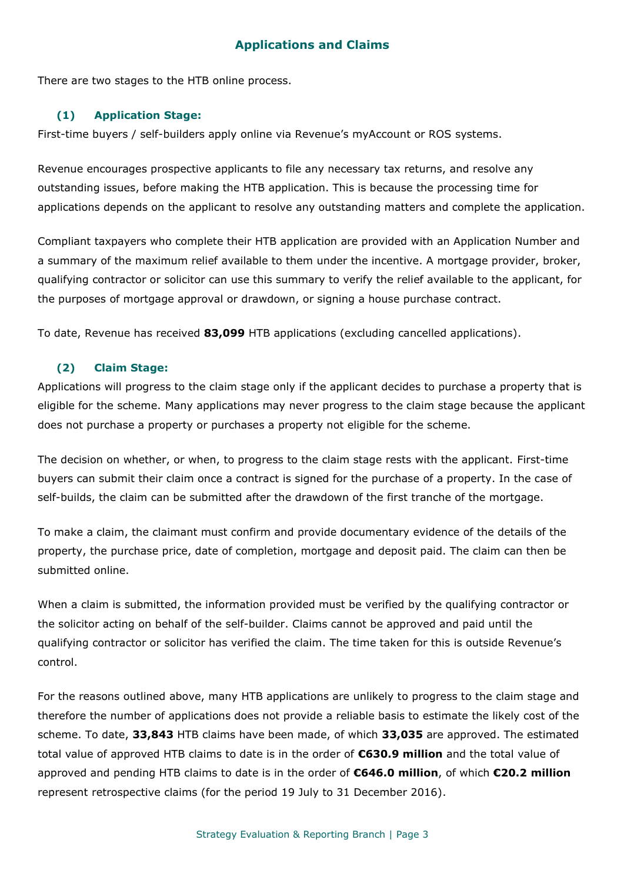## **Applications and Claims**

There are two stages to the HTB online process.

#### **(1) Application Stage:**

First-time buyers / self-builders apply online via Revenue's myAccount or ROS systems.

Revenue encourages prospective applicants to file any necessary tax returns, and resolve any outstanding issues, before making the HTB application. This is because the processing time for applications depends on the applicant to resolve any outstanding matters and complete the application.

Compliant taxpayers who complete their HTB application are provided with an Application Number and a summary of the maximum relief available to them under the incentive. A mortgage provider, broker, qualifying contractor or solicitor can use this summary to verify the relief available to the applicant, for the purposes of mortgage approval or drawdown, or signing a house purchase contract.

To date, Revenue has received **83,099** HTB applications (excluding cancelled applications).

#### **(2) Claim Stage:**

Applications will progress to the claim stage only if the applicant decides to purchase a property that is eligible for the scheme. Many applications may never progress to the claim stage because the applicant does not purchase a property or purchases a property not eligible for the scheme.

The decision on whether, or when, to progress to the claim stage rests with the applicant. First-time buyers can submit their claim once a contract is signed for the purchase of a property. In the case of self-builds, the claim can be submitted after the drawdown of the first tranche of the mortgage.

To make a claim, the claimant must confirm and provide documentary evidence of the details of the property, the purchase price, date of completion, mortgage and deposit paid. The claim can then be submitted online.

When a claim is submitted, the information provided must be verified by the qualifying contractor or the solicitor acting on behalf of the self-builder. Claims cannot be approved and paid until the qualifying contractor or solicitor has verified the claim. The time taken for this is outside Revenue's control.

For the reasons outlined above, many HTB applications are unlikely to progress to the claim stage and therefore the number of applications does not provide a reliable basis to estimate the likely cost of the scheme. To date, **33,843** HTB claims have been made, of which **33,035** are approved. The estimated total value of approved HTB claims to date is in the order of **€630.9 million** and the total value of approved and pending HTB claims to date is in the order of **€646.0 million**, of which **€20.2 million**  represent retrospective claims (for the period 19 July to 31 December 2016).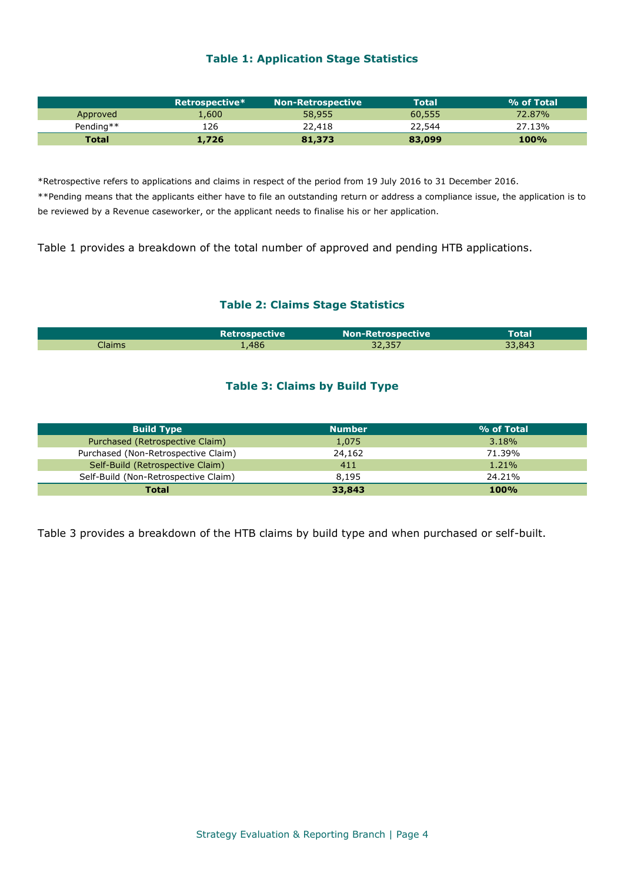#### **Table 1: Application Stage Statistics**

|           | Retrospective* | <b>Non-Retrospective</b> | <b>Total</b> | % of Total  |
|-----------|----------------|--------------------------|--------------|-------------|
| Approved  | 1.600          | 58,955                   | 60,555       | 72.87%      |
| Pending** | 126            | 22,418                   | 22,544       | 27.13%      |
| Total     | 1,726          | 81,373                   | 83,099       | <b>100%</b> |

\*Retrospective refers to applications and claims in respect of the period from 19 July 2016 to 31 December 2016.

\*\*Pending means that the applicants either have to file an outstanding return or address a compliance issue, the application is to be reviewed by a Revenue caseworker, or the applicant needs to finalise his or her application.

Table 1 provides a breakdown of the total number of approved and pending HTB applications.

#### **Table 2: Claims Stage Statistics**

|        | <b>Retrospective</b> | <b>Non-Retrospective</b> | Total  |  |
|--------|----------------------|--------------------------|--------|--|
| Claims | 486'                 | 32,357                   | 33,843 |  |

#### **Table 3: Claims by Build Type**

| <b>Build Type</b>                    | <b>Number</b> | % of Total  |
|--------------------------------------|---------------|-------------|
| Purchased (Retrospective Claim)      | 1,075         | 3.18%       |
| Purchased (Non-Retrospective Claim)  | 24,162        | 71.39%      |
| Self-Build (Retrospective Claim)     | 411           | $1.21\%$    |
| Self-Build (Non-Retrospective Claim) | 8,195         | 24.21%      |
| Total                                | 33,843        | <b>100%</b> |

Table 3 provides a breakdown of the HTB claims by build type and when purchased or self-built.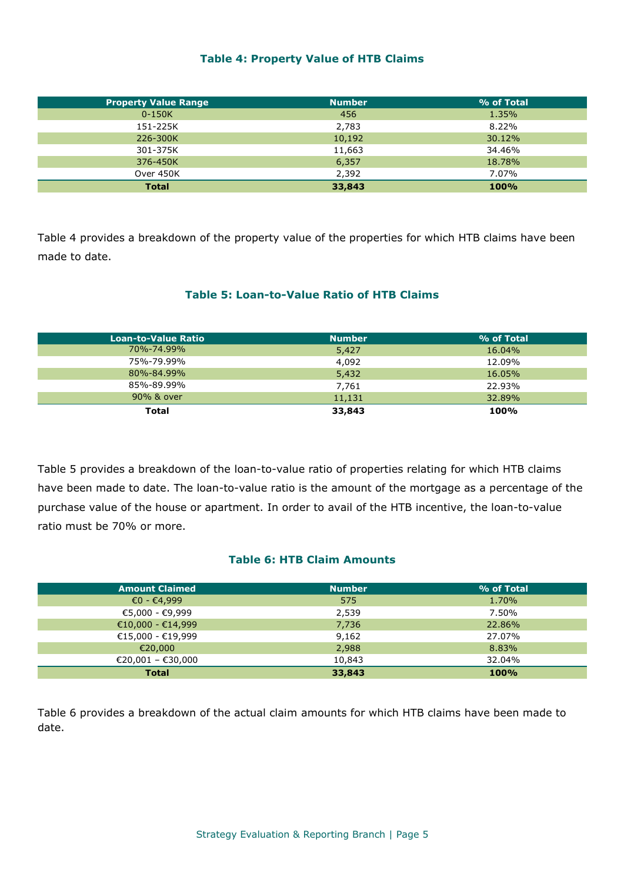#### **Table 4: Property Value of HTB Claims**

| <b>Property Value Range</b> | <b>Number</b> | % of Total |
|-----------------------------|---------------|------------|
| $0-150K$                    | 456           | 1.35%      |
| 151-225K                    | 2,783         | 8.22%      |
| 226-300K                    | 10,192        | 30.12%     |
| 301-375K                    | 11,663        | 34.46%     |
| 376-450K                    | 6,357         | 18.78%     |
| Over 450K                   | 2,392         | 7.07%      |
| <b>Total</b>                | 33,843        | 100%       |

Table 4 provides a breakdown of the property value of the properties for which HTB claims have been made to date.

#### **Table 5: Loan-to-Value Ratio of HTB Claims**

| <b>Loan-to-Value Ratio</b> | <b>Number</b> | % of Total |
|----------------------------|---------------|------------|
| 70%-74.99%                 | 5,427         | 16.04%     |
| 75%-79.99%                 | 4,092         | 12.09%     |
| 80%-84.99%                 | 5,432         | 16.05%     |
| 85%-89.99%                 | 7,761         | 22.93%     |
| 90% & over                 | 11,131        | 32.89%     |
| <b>Total</b>               | 33,843        | 100%       |

Table 5 provides a breakdown of the loan-to-value ratio of properties relating for which HTB claims have been made to date. The loan-to-value ratio is the amount of the mortgage as a percentage of the purchase value of the house or apartment. In order to avail of the HTB incentive, the loan-to-value ratio must be 70% or more.

#### **Table 6: HTB Claim Amounts**

| <b>Amount Claimed</b> | <b>Number</b> | % of Total |
|-----------------------|---------------|------------|
| $€0 - €4,999$         | 575           | 1.70%      |
| €5,000 - €9,999       | 2,539         | 7.50%      |
| €10,000 - €14,999     | 7,736         | 22.86%     |
| €15,000 - €19,999     | 9,162         | 27.07%     |
| €20,000               | 2,988         | 8.83%      |
| €20,001 - €30,000     | 10,843        | 32.04%     |
| <b>Total</b>          | 33,843        | 100%       |

Table 6 provides a breakdown of the actual claim amounts for which HTB claims have been made to date.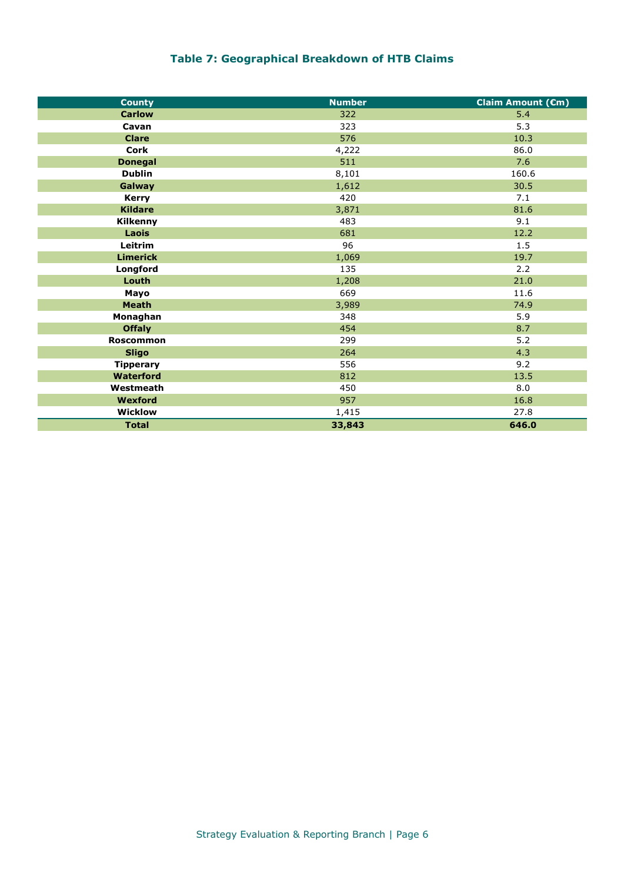## **Table 7: Geographical Breakdown of HTB Claims**

| <b>County</b>    | <b>Number</b> | Claim Amount (Cm) |
|------------------|---------------|-------------------|
| <b>Carlow</b>    | 322           | 5.4               |
| Cavan            | 323           | 5.3               |
| <b>Clare</b>     | 576           | 10.3              |
| <b>Cork</b>      | 4,222         | 86.0              |
| <b>Donegal</b>   | 511           | 7.6               |
| <b>Dublin</b>    | 8,101         | 160.6             |
| Galway           | 1,612         | 30.5              |
| <b>Kerry</b>     | 420           | 7.1               |
| <b>Kildare</b>   | 3,871         | 81.6              |
| Kilkenny         | 483           | 9.1               |
| Laois            | 681           | 12.2              |
| Leitrim          | 96            | 1.5               |
| <b>Limerick</b>  | 1,069         | 19.7              |
| Longford         | 135           | 2.2               |
| Louth            | 1,208         | 21.0              |
| Mayo             | 669           | 11.6              |
| <b>Meath</b>     | 3,989         | 74.9              |
| Monaghan         | 348           | 5.9               |
| <b>Offaly</b>    | 454           | 8.7               |
| <b>Roscommon</b> | 299           | $5.2$             |
| <b>Sligo</b>     | 264           | 4.3               |
| <b>Tipperary</b> | 556           | 9.2               |
| <b>Waterford</b> | 812           | 13.5              |
| Westmeath        | 450           | 8.0               |
| Wexford          | 957           | 16.8              |
| <b>Wicklow</b>   | 1,415         | 27.8              |
| <b>Total</b>     | 33,843        | 646.0             |